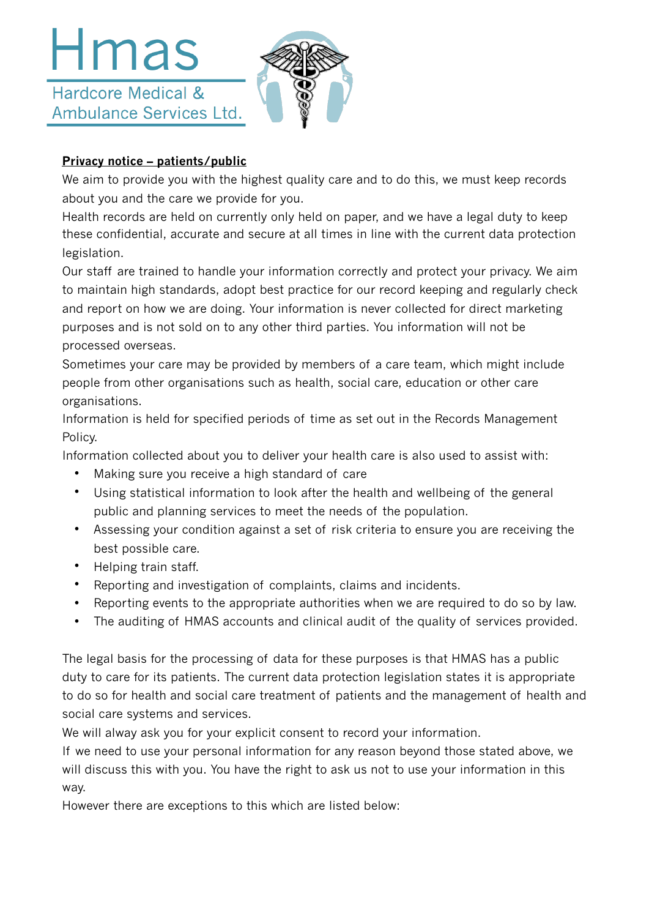## Hmas Hardcore Medical & Ambulance Services Ltd.



## **Privacy notice – patients/public**

We aim to provide you with the highest quality care and to do this, we must keep records about you and the care we provide for you.

Health records are held on currently only held on paper, and we have a legal duty to keep these confidential, accurate and secure at all times in line with the current data protection legislation.

Our staff are trained to handle your information correctly and protect your privacy. We aim to maintain high standards, adopt best practice for our record keeping and regularly check and report on how we are doing. Your information is never collected for direct marketing purposes and is not sold on to any other third parties. You information will not be processed overseas.

Sometimes your care may be provided by members of a care team, which might include people from other organisations such as health, social care, education or other care organisations.

Information is held for specified periods of time as set out in the Records Management Policy.

Information collected about you to deliver your health care is also used to assist with:

- Making sure you receive a high standard of care
- Using statistical information to look after the health and wellbeing of the general public and planning services to meet the needs of the population.
- Assessing your condition against a set of risk criteria to ensure you are receiving the best possible care.
- Helping train staff.
- Reporting and investigation of complaints, claims and incidents.
- Reporting events to the appropriate authorities when we are required to do so by law.
- The auditing of HMAS accounts and clinical audit of the quality of services provided.

The legal basis for the processing of data for these purposes is that HMAS has a public duty to care for its patients. The current data protection legislation states it is appropriate to do so for health and social care treatment of patients and the management of health and social care systems and services.

We will alway ask you for your explicit consent to record your information.

If we need to use your personal information for any reason beyond those stated above, we will discuss this with you. You have the right to ask us not to use your information in this way.

However there are exceptions to this which are listed below: